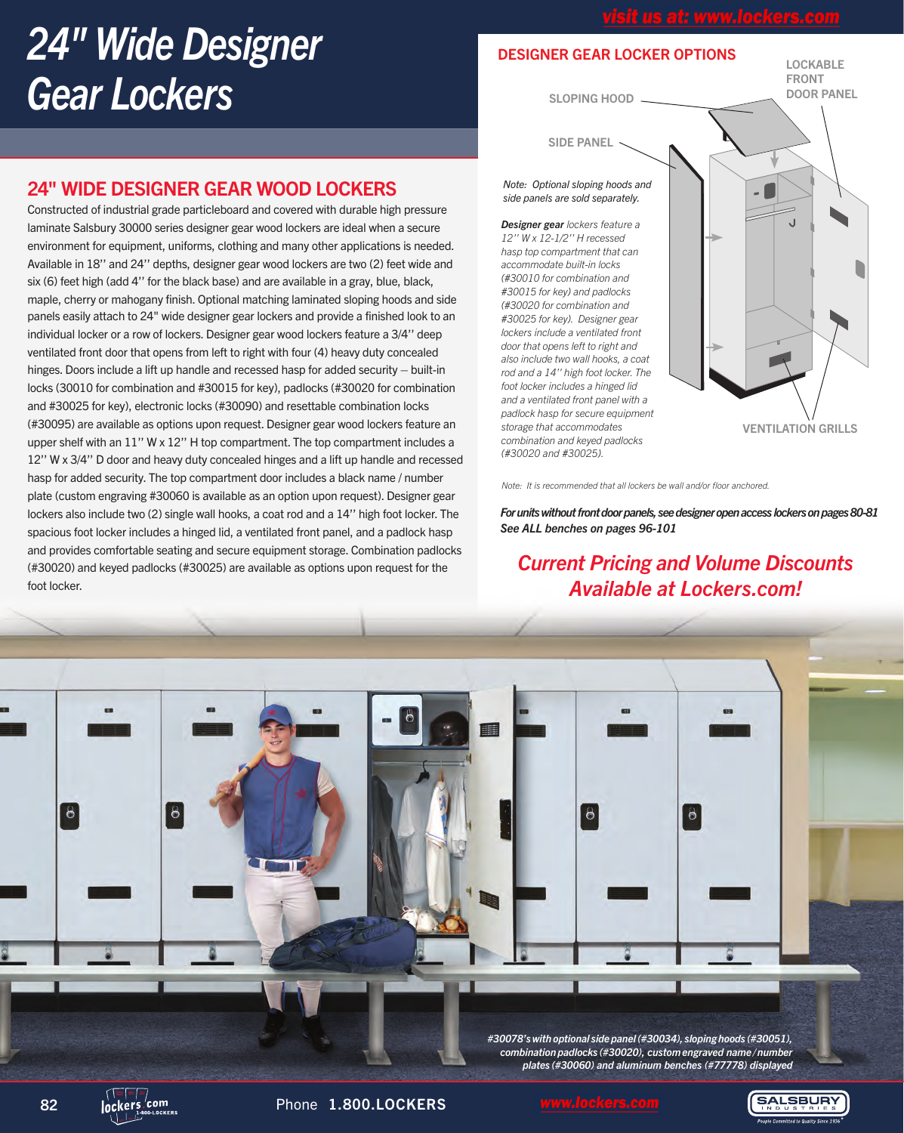# *24" Wide Designer Gear Lockers*

## 24" WIDE DESIGNER GEAR WOOD LOCKERS

Constructed of industrial grade particleboard and covered with durable high pressure laminate Salsbury 30000 series designer gear wood lockers are ideal when a secure environment for equipment, uniforms, clothing and many other applications is needed. Available in 18'' and 24'' depths, designer gear wood lockers are two (2) feet wide and six (6) feet high (add 4'' for the black base) and are available in a gray, blue, black, maple, cherry or mahogany finish. Optional matching laminated sloping hoods and side panels easily attach to 24" wide designer gear lockers and provide a finished look to an individual locker or a row of lockers. Designer gear wood lockers feature a 3/4'' deep ventilated front door that opens from left to right with four (4) heavy duty concealed hinges. Doors include a lift up handle and recessed hasp for added security – built-in locks (30010 for combination and #30015 for key), padlocks (#30020 for combination and #30025 for key), electronic locks (#30090) and resettable combination locks (#30095) are available as options upon request. Designer gear wood lockers feature an upper shelf with an 11'' W x 12'' H top compartment. The top compartment includes a 12'' W x 3/4'' D door and heavy duty concealed hinges and a lift up handle and recessed hasp for added security. The top compartment door includes a black name / number plate (custom engraving #30060 is available as an option upon request). Designer gear lockers also include two (2) single wall hooks, a coat rod and a 14'' high foot locker. The spacious foot locker includes a hinged lid, a ventilated front panel, and a padlock hasp and provides comfortable seating and secure equipment storage. Combination padlocks (#30020) and keyed padlocks (#30025) are available as options upon request for the foot locker.

## DESIGNER GEAR LOCKER OPTIONS

DOOR PANEL SLOPING HOOD

LOCKABLE FRONT

SIDE PANEL

#### *Note: Optional sloping hoods and side panels are sold separately.*

*Designer gear lockers feature a 12'' W x 12-1/2'' H recessed hasp top compartment that can accommodate built-in locks (#30010 for combination and #30015 for key) and padlocks (#30020 for combination and #30025 for key). Designer gear lockers include a ventilated front door that opens left to right and also include two wall hooks, a coat rod and a 14'' high foot locker. The foot locker includes a hinged lid and a ventilated front panel with a padlock hasp for secure equipment storage that accommodates combination and keyed padlocks (#30020 and #30025).*



*Note: It is recommended that all lockers be wall and/or floor anchored.*

*For units without front door panels, see designer open access lockers on pages 80-81 See ALL benches on pages 96-101*

# *Current Pricing and Volume Discounts Available at Lockers.com!*